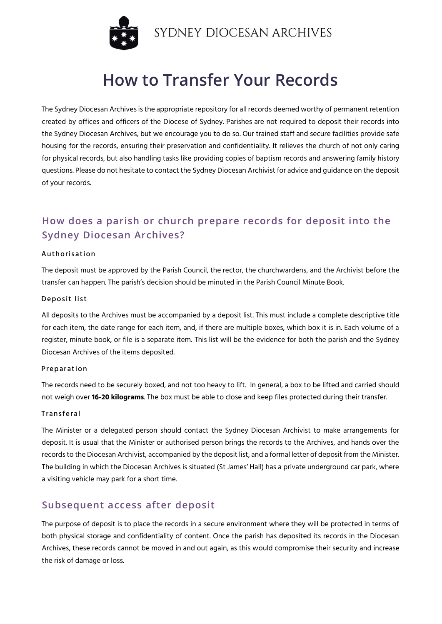

# **How to Transfer Your Records**

The Sydney Diocesan Archives is the appropriate repository for all records deemed worthy of permanent retention created by offices and officers of the Diocese of Sydney. Parishes are not required to deposit their records into the Sydney Diocesan Archives, but we encourage you to do so. Our trained staff and secure facilities provide safe housing for the records, ensuring their preservation and confidentiality. It relieves the church of not only caring for physical records, but also handling tasks like providing copies of baptism records and answering family history questions. Please do not hesitate to contact the Sydney Diocesan Archivist for advice and guidance on the deposit of your records.

## **How does a parish or church prepare records for deposit into the Sydney Diocesan Archives?**

#### Authorisation

The deposit must be approved by the Parish Council, the rector, the churchwardens, and the Archivist before the transfer can happen. The parish's decision should be minuted in the Parish Council Minute Book.

#### Deposit list

All deposits to the Archives must be accompanied by a deposit list. This must include a complete descriptive title for each item, the date range for each item, and, if there are multiple boxes, which box it is in. Each volume of a register, minute book, or file is a separate item. This list will be the evidence for both the parish and the Sydney Diocesan Archives of the items deposited.

#### Preparation

The records need to be securely boxed, and not too heavy to lift. In general, a box to be lifted and carried should not weigh over **16-20 kilograms**. The box must be able to close and keep files protected during their transfer.

#### **Transferal**

The Minister or a delegated person should contact the Sydney Diocesan Archivist to make arrangements for deposit. It is usual that the Minister or authorised person brings the records to the Archives, and hands over the records to the Diocesan Archivist, accompanied by the deposit list, and a formal letter of deposit from the Minister. The building in which the Diocesan Archives is situated (St James' Hall) has a private underground car park, where a visiting vehicle may park for a short time.

### **Subsequent access after deposit**

The purpose of deposit is to place the records in a secure environment where they will be protected in terms of both physical storage and confidentiality of content. Once the parish has deposited its records in the Diocesan Archives, these records cannot be moved in and out again, as this would compromise their security and increase the risk of damage or loss.